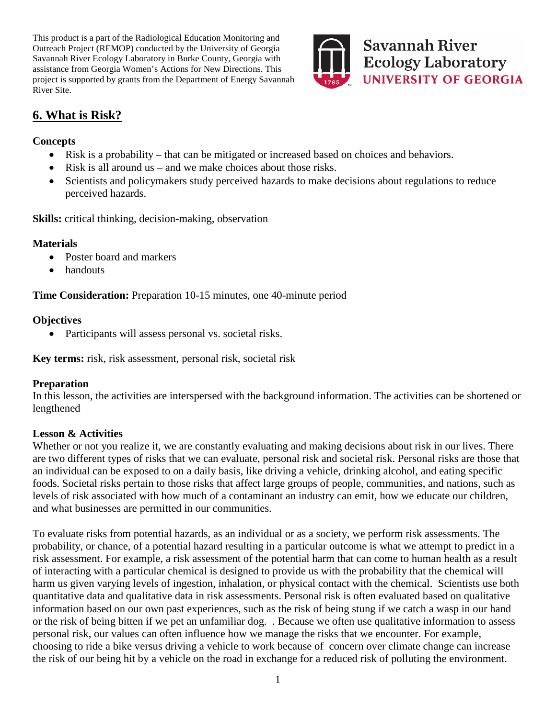This product is a part of the Radiological Education Monitoring and Outreach Project (REMOP) conducted by the University of Georgia Savannah River Ecology Laboratory in Burke County, Georgia with assistance from Georgia Women's Actions for New Directions. This project is supported by grants from the Department of Energy Savannah River Site.



### **6. What is Risk?**

#### **Concepts**

- Risk is a probability that can be mitigated or increased based on choices and behaviors.
- Risk is all around us and we make choices about those risks.
- Scientists and policymakers study perceived hazards to make decisions about regulations to reduce perceived hazards.

**Skills:** critical thinking, decision-making, observation

#### **Materials**

- Poster board and markers
- handouts

**Time Consideration:** Preparation 10-15 minutes, one 40-minute period

#### **Objectives**

• Participants will assess personal vs. societal risks.

**Key terms:** risk, risk assessment, personal risk, societal risk

#### **Preparation**

In this lesson, the activities are interspersed with the background information. The activities can be shortened or lengthened

#### **Lesson & Activities**

Whether or not you realize it, we are constantly evaluating and making decisions about risk in our lives. There are two different types of risks that we can evaluate, personal risk and societal risk. Personal risks are those that an individual can be exposed to on a daily basis, like driving a vehicle, drinking alcohol, and eating specific foods. Societal risks pertain to those risks that affect large groups of people, communities, and nations, such as levels of risk associated with how much of a contaminant an industry can emit, how we educate our children, and what businesses are permitted in our communities.

To evaluate risks from potential hazards, as an individual or as a society, we perform risk assessments. The probability, or chance, of a potential hazard resulting in a particular outcome is what we attempt to predict in a risk assessment. For example, a risk assessment of the potential harm that can come to human health as a result of interacting with a particular chemical is designed to provide us with the probability that the chemical will harm us given varying levels of ingestion, inhalation, or physical contact with the chemical. Scientists use both quantitative data and qualitative data in risk assessments. Personal risk is often evaluated based on qualitative information based on our own past experiences, such as the risk of being stung if we catch a wasp in our hand or the risk of being bitten if we pet an unfamiliar dog. . Because we often use qualitative information to assess personal risk, our values can often influence how we manage the risks that we encounter. For example, choosing to ride a bike versus driving a vehicle to work because of concern over climate change can increase the risk of our being hit by a vehicle on the road in exchange for a reduced risk of polluting the environment.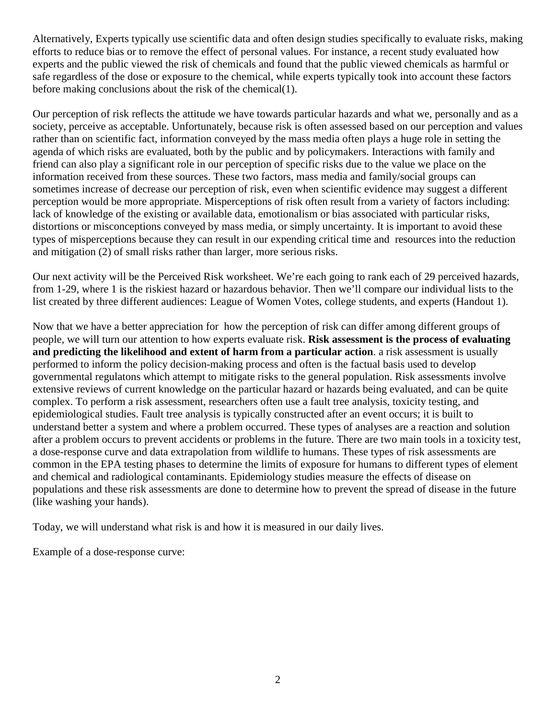Alternatively, Experts typically use scientific data and often design studies specifically to evaluate risks, making efforts to reduce bias or to remove the effect of personal values. For instance, a recent study evaluated how experts and the public viewed the risk of chemicals and found that the public viewed chemicals as harmful or safe regardless of the dose or exposure to the chemical, while experts typically took into account these factors before making conclusions about the risk of the chemical(1).

Our perception of risk reflects the attitude we have towards particular hazards and what we, personally and as a society, perceive as acceptable. Unfortunately, because risk is often assessed based on our perception and values rather than on scientific fact, information conveyed by the mass media often plays a huge role in setting the agenda of which risks are evaluated, both by the public and by policymakers. Interactions with family and friend can also play a significant role in our perception of specific risks due to the value we place on the information received from these sources. These two factors, mass media and family/social groups can sometimes increase of decrease our perception of risk, even when scientific evidence may suggest a different perception would be more appropriate. Misperceptions of risk often result from a variety of factors including: lack of knowledge of the existing or available data, emotionalism or bias associated with particular risks, distortions or misconceptions conveyed by mass media, or simply uncertainty. It is important to avoid these types of misperceptions because they can result in our expending critical time and resources into the reduction and mitigation (2) of small risks rather than larger, more serious risks.

Our next activity will be the Perceived Risk worksheet. We're each going to rank each of 29 perceived hazards, from 1-29, where 1 is the riskiest hazard or hazardous behavior. Then we'll compare our individual lists to the list created by three different audiences: League of Women Votes, college students, and experts (Handout 1).

Now that we have a better appreciation for how the perception of risk can differ among different groups of people, we will turn our attention to how experts evaluate risk. **Risk assessment is the process of evaluating and predicting the likelihood and extent of harm from a particular action**. a risk assessment is usually performed to inform the policy decision-making process and often is the factual basis used to develop governmental regulatons which attempt to mitigate risks to the general population. Risk assessments involve extensive reviews of current knowledge on the particular hazard or hazards being evaluated, and can be quite complex. To perform a risk assessment, researchers often use a fault tree analysis, toxicity testing, and epidemiological studies. Fault tree analysis is typically constructed after an event occurs; it is built to understand better a system and where a problem occurred. These types of analyses are a reaction and solution after a problem occurs to prevent accidents or problems in the future. There are two main tools in a toxicity test, a dose-response curve and data extrapolation from wildlife to humans. These types of risk assessments are common in the EPA testing phases to determine the limits of exposure for humans to different types of element and chemical and radiological contaminants. Epidemiology studies measure the effects of disease on populations and these risk assessments are done to determine how to prevent the spread of disease in the future (like washing your hands).

Today, we will understand what risk is and how it is measured in our daily lives.

Example of a dose-response curve: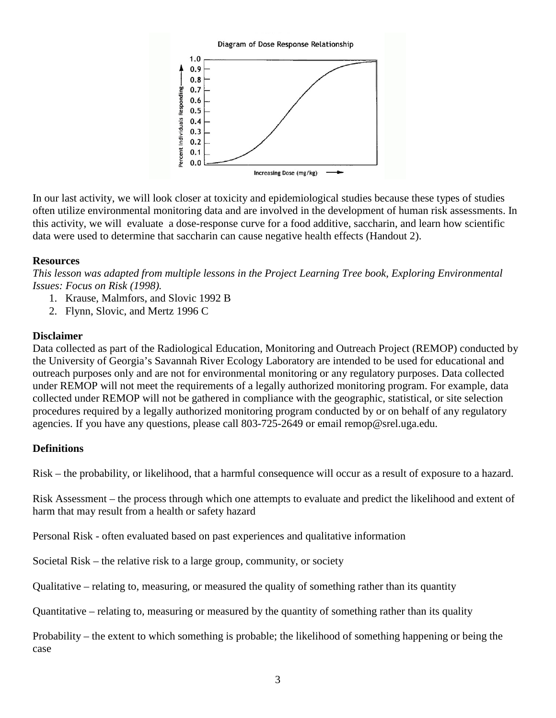

In our last activity, we will look closer at toxicity and epidemiological studies because these types of studies often utilize environmental monitoring data and are involved in the development of human risk assessments. In this activity, we will evaluate a dose-response curve for a food additive, saccharin, and learn how scientific data were used to determine that saccharin can cause negative health effects (Handout 2).

#### **Resources**

*This lesson was adapted from multiple lessons in the Project Learning Tree book, Exploring Environmental Issues: Focus on Risk (1998).*

- 1. Krause, Malmfors, and Slovic 1992 B
- 2. Flynn, Slovic, and Mertz 1996 C

#### **Disclaimer**

Data collected as part of the Radiological Education, Monitoring and Outreach Project (REMOP) conducted by the University of Georgia's Savannah River Ecology Laboratory are intended to be used for educational and outreach purposes only and are not for environmental monitoring or any regulatory purposes. Data collected under REMOP will not meet the requirements of a legally authorized monitoring program. For example, data collected under REMOP will not be gathered in compliance with the geographic, statistical, or site selection procedures required by a legally authorized monitoring program conducted by or on behalf of any regulatory agencies. If you have any questions, please call 803-725-2649 or email remop@srel.uga.edu.

#### **Definitions**

Risk – the probability, or likelihood, that a harmful consequence will occur as a result of exposure to a hazard.

Risk Assessment – the process through which one attempts to evaluate and predict the likelihood and extent of harm that may result from a health or safety hazard

Personal Risk - often evaluated based on past experiences and qualitative information

Societal Risk – the relative risk to a large group, community, or society

Qualitative – relating to, measuring, or measured the quality of something rather than its quantity

Quantitative – relating to, measuring or measured by the quantity of something rather than its quality

Probability – the extent to which something is probable; the likelihood of something happening or being the case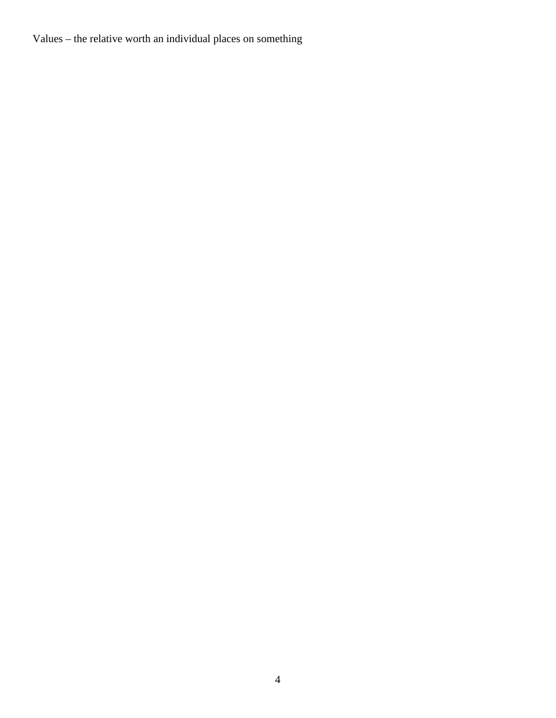Values – the relative worth an individual places on something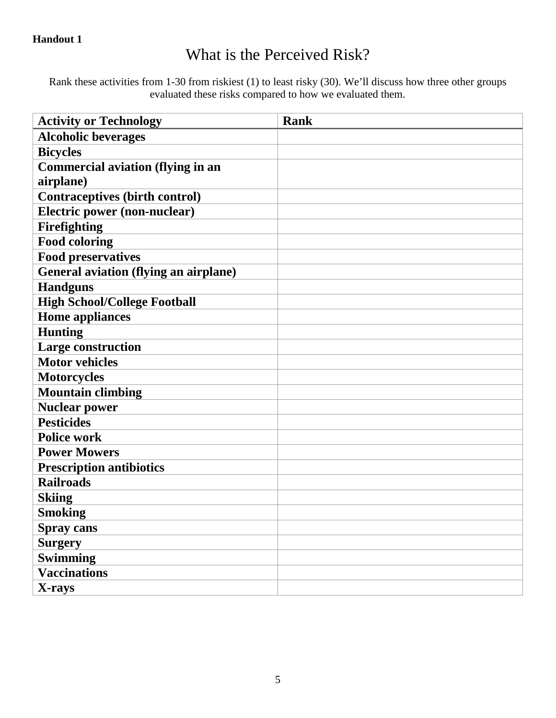#### **Handout 1**

# What is the Perceived Risk?

Rank these activities from 1-30 from riskiest (1) to least risky (30). We'll discuss how three other groups evaluated these risks compared to how we evaluated them.

| <b>Activity or Technology</b>                | <b>Rank</b> |
|----------------------------------------------|-------------|
| <b>Alcoholic beverages</b>                   |             |
| <b>Bicycles</b>                              |             |
| <b>Commercial aviation (flying in an</b>     |             |
| airplane)                                    |             |
| <b>Contraceptives (birth control)</b>        |             |
| <b>Electric power (non-nuclear)</b>          |             |
| Firefighting                                 |             |
| <b>Food coloring</b>                         |             |
| <b>Food preservatives</b>                    |             |
| <b>General aviation (flying an airplane)</b> |             |
| <b>Handguns</b>                              |             |
| <b>High School/College Football</b>          |             |
| <b>Home appliances</b>                       |             |
| <b>Hunting</b>                               |             |
| <b>Large construction</b>                    |             |
| Motor vehicles                               |             |
| <b>Motorcycles</b>                           |             |
| <b>Mountain climbing</b>                     |             |
| <b>Nuclear power</b>                         |             |
| <b>Pesticides</b>                            |             |
| <b>Police work</b>                           |             |
| <b>Power Mowers</b>                          |             |
| <b>Prescription antibiotics</b>              |             |
| <b>Railroads</b>                             |             |
| <b>Skiing</b>                                |             |
| <b>Smoking</b>                               |             |
| <b>Spray cans</b>                            |             |
| <b>Surgery</b>                               |             |
| <b>Swimming</b>                              |             |
| <b>Vaccinations</b>                          |             |
| X-rays                                       |             |